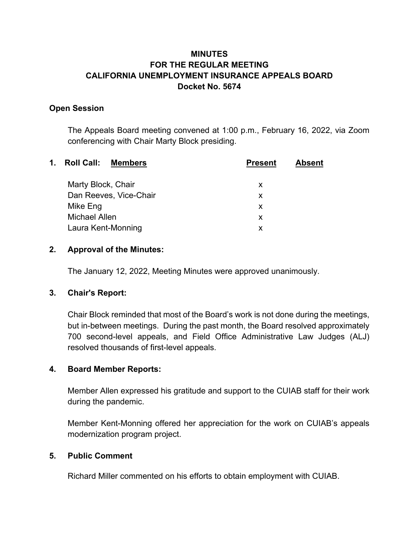# **MINUTES FOR THE REGULAR MEETING CALIFORNIA UNEMPLOYMENT INSURANCE APPEALS BOARD Docket No. 5674**

### **Open Session**

The Appeals Board meeting convened at 1:00 p.m., February 16, 2022, via Zoom conferencing with Chair Marty Block presiding.

| $\mathbf 1$ . | <b>Roll Call:</b><br><b>Members</b> | <b>Present</b> | <b>Absent</b> |
|---------------|-------------------------------------|----------------|---------------|
|               | Marty Block, Chair                  | X              |               |
|               | Dan Reeves, Vice-Chair              | X              |               |
|               | Mike Eng                            | X              |               |
|               | Michael Allen                       | X              |               |
|               | Laura Kent-Monning                  | X              |               |
|               |                                     |                |               |

### **2. Approval of the Minutes:**

The January 12, 2022, Meeting Minutes were approved unanimously.

## **3. Chair's Report:**

Chair Block reminded that most of the Board's work is not done during the meetings, but in-between meetings. During the past month, the Board resolved approximately 700 second-level appeals, and Field Office Administrative Law Judges (ALJ) resolved thousands of first-level appeals.

## **4. Board Member Reports:**

Member Allen expressed his gratitude and support to the CUIAB staff for their work during the pandemic.

Member Kent-Monning offered her appreciation for the work on CUIAB's appeals modernization program project.

#### **5. Public Comment**

Richard Miller commented on his efforts to obtain employment with CUIAB.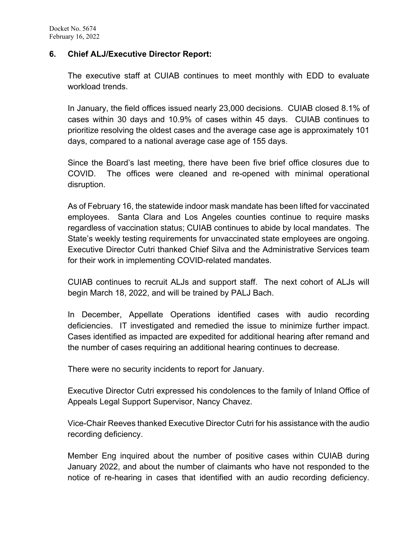#### **6. Chief ALJ/Executive Director Report:**

The executive staff at CUIAB continues to meet monthly with EDD to evaluate workload trends.

In January, the field offices issued nearly 23,000 decisions. CUIAB closed 8.1% of cases within 30 days and 10.9% of cases within 45 days. CUIAB continues to prioritize resolving the oldest cases and the average case age is approximately 101 days, compared to a national average case age of 155 days.

Since the Board's last meeting, there have been five brief office closures due to COVID. The offices were cleaned and re-opened with minimal operational disruption.

As of February 16, the statewide indoor mask mandate has been lifted for vaccinated employees. Santa Clara and Los Angeles counties continue to require masks regardless of vaccination status; CUIAB continues to abide by local mandates. The State's weekly testing requirements for unvaccinated state employees are ongoing. Executive Director Cutri thanked Chief Silva and the Administrative Services team for their work in implementing COVID-related mandates.

CUIAB continues to recruit ALJs and support staff. The next cohort of ALJs will begin March 18, 2022, and will be trained by PALJ Bach.

In December, Appellate Operations identified cases with audio recording deficiencies. IT investigated and remedied the issue to minimize further impact. Cases identified as impacted are expedited for additional hearing after remand and the number of cases requiring an additional hearing continues to decrease.

There were no security incidents to report for January.

Executive Director Cutri expressed his condolences to the family of Inland Office of Appeals Legal Support Supervisor, Nancy Chavez.

Vice-Chair Reeves thanked Executive Director Cutri for his assistance with the audio recording deficiency.

Member Eng inquired about the number of positive cases within CUIAB during January 2022, and about the number of claimants who have not responded to the notice of re-hearing in cases that identified with an audio recording deficiency.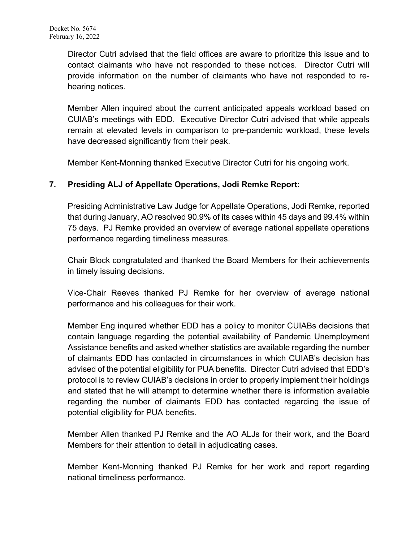Director Cutri advised that the field offices are aware to prioritize this issue and to contact claimants who have not responded to these notices. Director Cutri will provide information on the number of claimants who have not responded to rehearing notices.

Member Allen inquired about the current anticipated appeals workload based on CUIAB's meetings with EDD. Executive Director Cutri advised that while appeals remain at elevated levels in comparison to pre-pandemic workload, these levels have decreased significantly from their peak.

Member Kent-Monning thanked Executive Director Cutri for his ongoing work.

# **7. Presiding ALJ of Appellate Operations, Jodi Remke Report:**

Presiding Administrative Law Judge for Appellate Operations, Jodi Remke, reported that during January, AO resolved 90.9% of its cases within 45 days and 99.4% within 75 days. PJ Remke provided an overview of average national appellate operations performance regarding timeliness measures.

Chair Block congratulated and thanked the Board Members for their achievements in timely issuing decisions.

Vice-Chair Reeves thanked PJ Remke for her overview of average national performance and his colleagues for their work.

Member Eng inquired whether EDD has a policy to monitor CUIABs decisions that contain language regarding the potential availability of Pandemic Unemployment Assistance benefits and asked whether statistics are available regarding the number of claimants EDD has contacted in circumstances in which CUIAB's decision has advised of the potential eligibility for PUA benefits. Director Cutri advised that EDD's protocol is to review CUIAB's decisions in order to properly implement their holdings and stated that he will attempt to determine whether there is information available regarding the number of claimants EDD has contacted regarding the issue of potential eligibility for PUA benefits.

Member Allen thanked PJ Remke and the AO ALJs for their work, and the Board Members for their attention to detail in adjudicating cases.

Member Kent-Monning thanked PJ Remke for her work and report regarding national timeliness performance.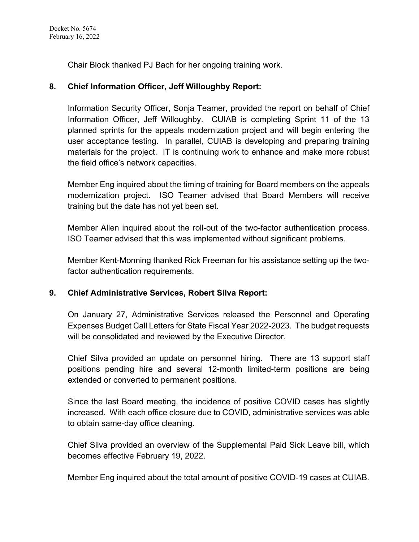Chair Block thanked PJ Bach for her ongoing training work.

## **8. Chief Information Officer, Jeff Willoughby Report:**

Information Security Officer, Sonja Teamer, provided the report on behalf of Chief Information Officer, Jeff Willoughby. CUIAB is completing Sprint 11 of the 13 planned sprints for the appeals modernization project and will begin entering the user acceptance testing. In parallel, CUIAB is developing and preparing training materials for the project. IT is continuing work to enhance and make more robust the field office's network capacities.

Member Eng inquired about the timing of training for Board members on the appeals modernization project. ISO Teamer advised that Board Members will receive training but the date has not yet been set.

Member Allen inquired about the roll-out of the two-factor authentication process. ISO Teamer advised that this was implemented without significant problems.

Member Kent-Monning thanked Rick Freeman for his assistance setting up the twofactor authentication requirements.

#### **9. Chief Administrative Services, Robert Silva Report:**

On January 27, Administrative Services released the Personnel and Operating Expenses Budget Call Letters for State Fiscal Year 2022-2023. The budget requests will be consolidated and reviewed by the Executive Director.

Chief Silva provided an update on personnel hiring. There are 13 support staff positions pending hire and several 12-month limited-term positions are being extended or converted to permanent positions.

Since the last Board meeting, the incidence of positive COVID cases has slightly increased. With each office closure due to COVID, administrative services was able to obtain same-day office cleaning.

Chief Silva provided an overview of the Supplemental Paid Sick Leave bill, which becomes effective February 19, 2022.

Member Eng inquired about the total amount of positive COVID-19 cases at CUIAB.